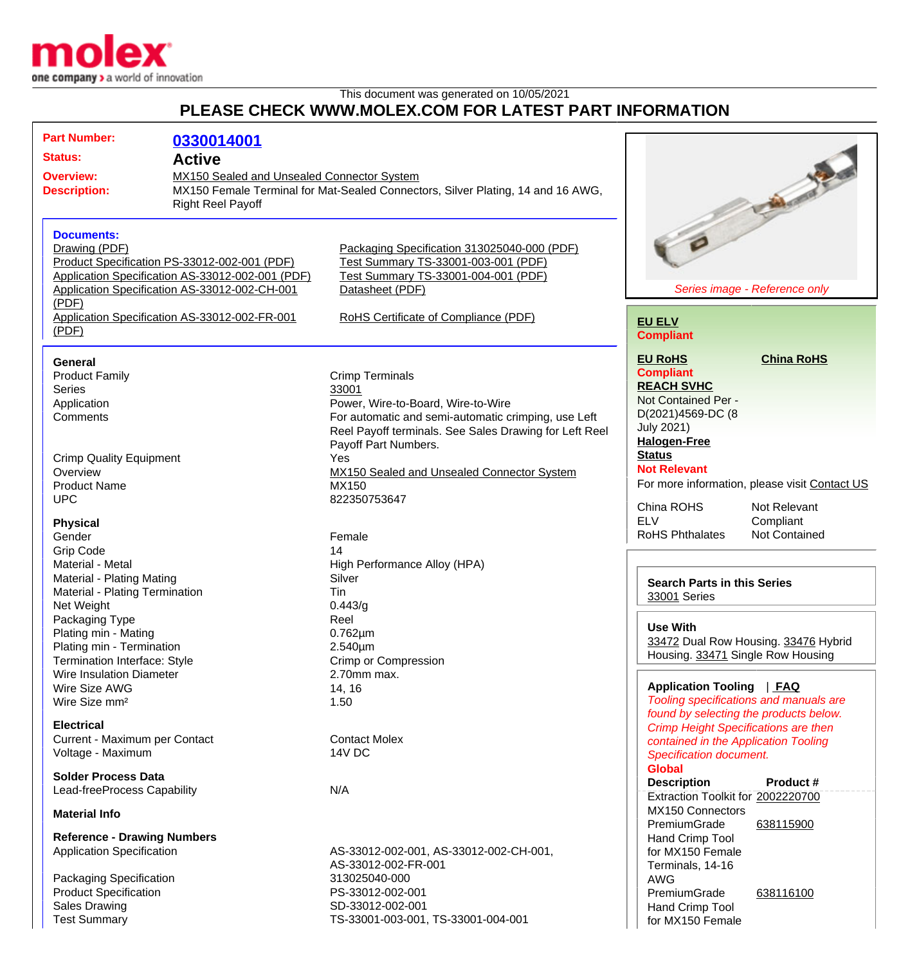

## This document was generated on 10/05/2021 **PLEASE CHECK WWW.MOLEX.COM FOR LATEST PART INFORMATION**

| <b>Part Number:</b><br><b>Status:</b><br><b>Overview:</b><br><b>Description:</b>                                                                                                                 | 0330014001<br><b>Active</b><br>MX150 Sealed and Unsealed Connector System<br><b>Right Reel Payoff</b> | MX150 Female Terminal for Mat-Sealed Connectors, Silver Plating, 14 and 16 AWG,                                                                                                        | <b>Call of the Contract of the Contract of the Contract of the Contract of the Contract of the Contract of The Contract of The Contract of The Contract of The Contract of The Contract of The Contract of The Contract of The C</b>   |  |
|--------------------------------------------------------------------------------------------------------------------------------------------------------------------------------------------------|-------------------------------------------------------------------------------------------------------|----------------------------------------------------------------------------------------------------------------------------------------------------------------------------------------|----------------------------------------------------------------------------------------------------------------------------------------------------------------------------------------------------------------------------------------|--|
| <b>Documents:</b><br>Drawing (PDF)<br>Product Specification PS-33012-002-001 (PDF)<br>Application Specification AS-33012-002-001 (PDF)<br>Application Specification AS-33012-002-CH-001<br>(PDF) |                                                                                                       | Packaging Specification 313025040-000 (PDF)<br>Test Summary TS-33001-003-001 (PDF)<br>Test Summary TS-33001-004-001 (PDF)<br>Datasheet (PDF)<br>RoHS Certificate of Compliance (PDF)   | Series image - Reference only<br><b>EU ELV</b><br><b>Compliant</b>                                                                                                                                                                     |  |
| Application Specification AS-33012-002-FR-001<br>(PDF)                                                                                                                                           |                                                                                                       |                                                                                                                                                                                        |                                                                                                                                                                                                                                        |  |
| <b>General</b><br><b>Product Family</b><br><b>Series</b><br>Application<br>Comments                                                                                                              |                                                                                                       | <b>Crimp Terminals</b><br>33001<br>Power, Wire-to-Board, Wire-to-Wire<br>For automatic and semi-automatic crimping, use Left<br>Reel Payoff terminals. See Sales Drawing for Left Reel | <b>EU RoHS</b><br><b>China RoHS</b><br><b>Compliant</b><br><b>REACH SVHC</b><br>Not Contained Per -<br>D(2021)4569-DC (8<br><b>July 2021)</b><br><b>Halogen-Free</b>                                                                   |  |
| <b>Crimp Quality Equipment</b><br>Overview<br><b>Product Name</b><br><b>UPC</b>                                                                                                                  |                                                                                                       | Payoff Part Numbers.<br>Yes<br>MX150 Sealed and Unsealed Connector System<br>MX150<br>822350753647                                                                                     | <b>Status</b><br><b>Not Relevant</b><br>For more information, please visit Contact US<br>China ROHS<br>Not Relevant                                                                                                                    |  |
| <b>Physical</b><br>Gender<br><b>Grip Code</b><br>Material - Metal<br>Material - Plating Mating<br>Material - Plating Termination                                                                 |                                                                                                       | Female<br>14<br>High Performance Alloy (HPA)<br>Silver<br>Tin                                                                                                                          | <b>ELV</b><br>Compliant<br><b>RoHS Phthalates</b><br><b>Not Contained</b><br><b>Search Parts in this Series</b><br>33001 Series                                                                                                        |  |
| Net Weight<br>Packaging Type<br>Plating min - Mating<br>Plating min - Termination<br>Termination Interface: Style<br>Wire Insulation Diameter                                                    |                                                                                                       | 0.443/q<br>Reel<br>$0.762 \mu m$<br>2.540µm<br>Crimp or Compression<br>2.70mm max.                                                                                                     | <b>Use With</b><br>33472 Dual Row Housing. 33476 Hybrid<br>Housing. 33471 Single Row Housing                                                                                                                                           |  |
| Wire Size AWG<br>Wire Size mm <sup>2</sup><br><b>Electrical</b><br>Current - Maximum per Contact<br>Voltage - Maximum                                                                            |                                                                                                       | 14, 16<br>1.50<br><b>Contact Molex</b><br>14V DC                                                                                                                                       | Application Tooling   FAQ<br>Tooling specifications and manuals are<br>found by selecting the products below.<br><b>Crimp Height Specifications are then</b><br>contained in the Application Tooling<br><b>Specification document.</b> |  |
| <b>Solder Process Data</b><br>Lead-freeProcess Capability<br><b>Material Info</b>                                                                                                                |                                                                                                       | N/A                                                                                                                                                                                    | <b>Global</b><br><b>Description</b><br>Product #<br>Extraction Toolkit for 2002220700<br>MX150 Connectors<br>PremiumGrade<br>638115900                                                                                                 |  |
| <b>Reference - Drawing Numbers</b><br><b>Application Specification</b><br>Packaging Specification<br><b>Product Specification</b><br><b>Sales Drawing</b><br><b>Test Summary</b>                 |                                                                                                       | AS-33012-002-001, AS-33012-002-CH-001,<br>AS-33012-002-FR-001<br>313025040-000<br>PS-33012-002-001<br>SD-33012-002-001<br>TS-33001-003-001, TS-33001-004-001                           | Hand Crimp Tool<br>for MX150 Female<br>Terminals, 14-16<br><b>AWG</b><br>PremiumGrade<br>638116100<br>Hand Crimp Tool<br>for MX150 Female                                                                                              |  |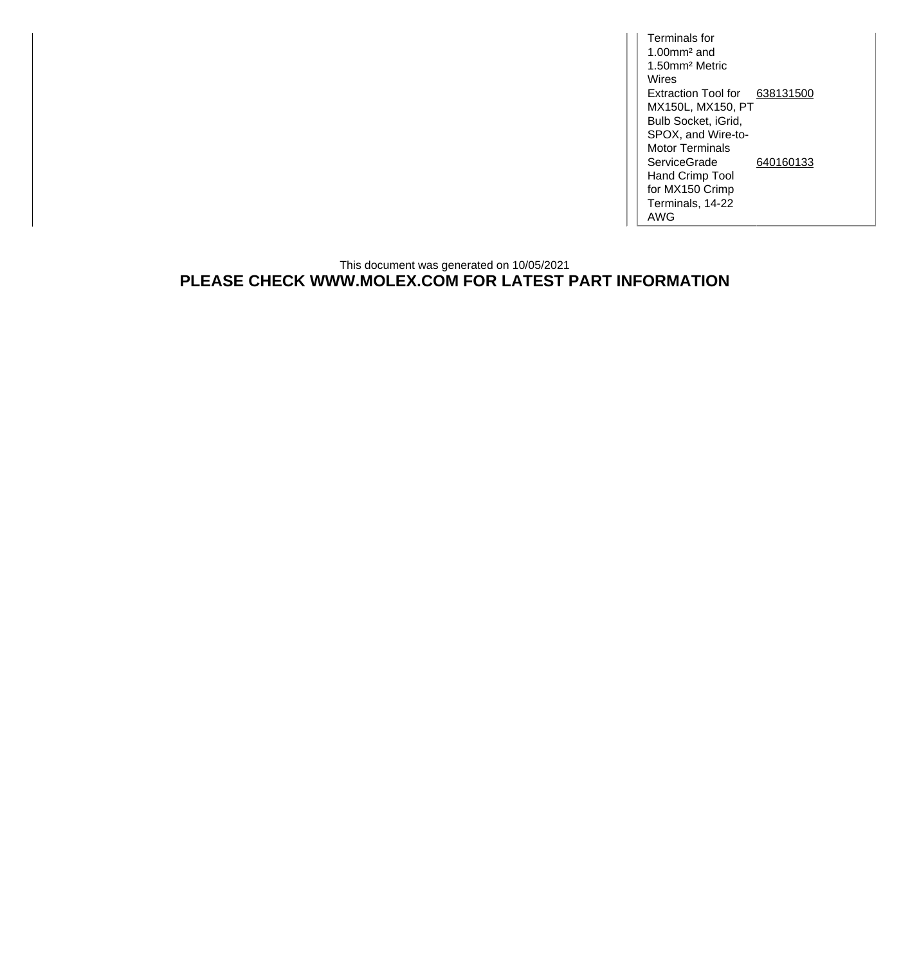Terminals for 1.00mm² and 1.50mm² Metric Wires Extraction Tool for [638131500](http://www.molex.com/molex/products/datasheet.jsp?part=active/0638131500_APPLICATION_TOOLIN.xml) MX150L, MX150, PT Bulb Socket, iGrid, SPOX, and Wire-to-Motor Terminals **ServiceGrade** Hand Crimp Tool for MX150 Crimp Terminals, 14-22 AWG [640160133](http://www.molex.com/molex/products/datasheet.jsp?part=active/0640160133_APPLICATION_TOOLIN.xml)

## This document was generated on 10/05/2021 **PLEASE CHECK WWW.MOLEX.COM FOR LATEST PART INFORMATION**